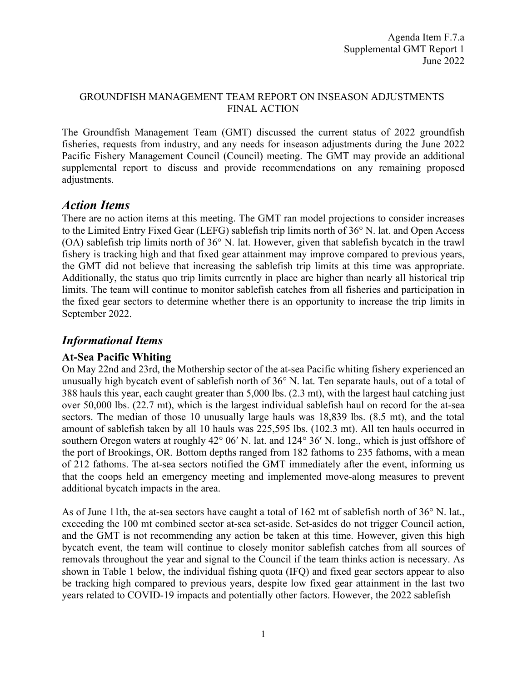#### GROUNDFISH MANAGEMENT TEAM REPORT ON INSEASON ADJUSTMENTS FINAL ACTION

The Groundfish Management Team (GMT) discussed the current status of 2022 groundfish fisheries, requests from industry, and any needs for inseason adjustments during the June 2022 Pacific Fishery Management Council (Council) meeting. The GMT may provide an additional supplemental report to discuss and provide recommendations on any remaining proposed adjustments.

# *Action Items*

There are no action items at this meeting. The GMT ran model projections to consider increases to the Limited Entry Fixed Gear (LEFG) sablefish trip limits north of 36° N. lat. and Open Access (OA) sablefish trip limits north of 36° N. lat. However, given that sablefish bycatch in the trawl fishery is tracking high and that fixed gear attainment may improve compared to previous years, the GMT did not believe that increasing the sablefish trip limits at this time was appropriate. Additionally, the status quo trip limits currently in place are higher than nearly all historical trip limits. The team will continue to monitor sablefish catches from all fisheries and participation in the fixed gear sectors to determine whether there is an opportunity to increase the trip limits in September 2022.

# *Informational Items*

## **At-Sea Pacific Whiting**

On May 22nd and 23rd, the Mothership sector of the at-sea Pacific whiting fishery experienced an unusually high bycatch event of sablefish north of 36° N. lat. Ten separate hauls, out of a total of 388 hauls this year, each caught greater than 5,000 lbs. (2.3 mt), with the largest haul catching just over 50,000 lbs. (22.7 mt), which is the largest individual sablefish haul on record for the at-sea sectors. The median of those 10 unusually large hauls was 18,839 lbs. (8.5 mt), and the total amount of sablefish taken by all 10 hauls was 225,595 lbs. (102.3 mt). All ten hauls occurred in southern Oregon waters at roughly 42° 06' N. lat. and 124° 36' N. long., which is just offshore of the port of Brookings, OR. Bottom depths ranged from 182 fathoms to 235 fathoms, with a mean of 212 fathoms. The at-sea sectors notified the GMT immediately after the event, informing us that the coops held an emergency meeting and implemented move-along measures to prevent additional bycatch impacts in the area.

As of June 11th, the at-sea sectors have caught a total of 162 mt of sablefish north of 36° N. lat., exceeding the 100 mt combined sector at-sea set-aside. Set-asides do not trigger Council action, and the GMT is not recommending any action be taken at this time. However, given this high bycatch event, the team will continue to closely monitor sablefish catches from all sources of removals throughout the year and signal to the Council if the team thinks action is necessary. As shown in Table 1 below, the individual fishing quota (IFQ) and fixed gear sectors appear to also be tracking high compared to previous years, despite low fixed gear attainment in the last two years related to COVID-19 impacts and potentially other factors. However, the 2022 sablefish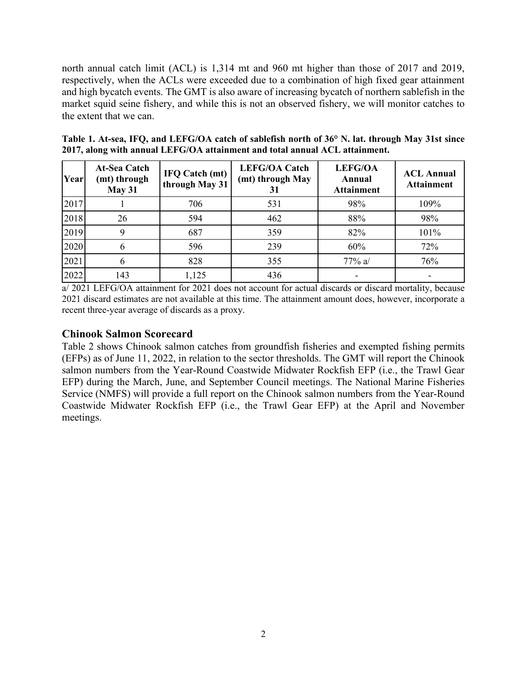north annual catch limit (ACL) is 1,314 mt and 960 mt higher than those of 2017 and 2019, respectively, when the ACLs were exceeded due to a combination of high fixed gear attainment and high bycatch events. The GMT is also aware of increasing bycatch of northern sablefish in the market squid seine fishery, and while this is not an observed fishery, we will monitor catches to the extent that we can.

| Table 1. At-sea, IFQ, and LEFG/OA catch of sablefish north of 36° N. lat. through May 31st since |
|--------------------------------------------------------------------------------------------------|
| 2017, along with annual LEFG/OA attainment and total annual ACL attainment.                      |

| Year | <b>At-Sea Catch</b><br>(mt) through<br>May 31 | <b>IFQ Catch (mt)</b><br>through May 31 | <b>LEFG/OA Catch</b><br>(mt) through May | <b>LEFG/OA</b><br>Annual<br><b>Attainment</b> | <b>ACL Annual</b><br><b>Attainment</b> |
|------|-----------------------------------------------|-----------------------------------------|------------------------------------------|-----------------------------------------------|----------------------------------------|
| 2017 |                                               | 706                                     | 531                                      | 98%                                           | 109%                                   |
| 2018 | 26                                            | 594                                     | 462                                      | 88%                                           | 98%                                    |
| 2019 |                                               | 687                                     | 359                                      | 82%                                           | 101%                                   |
| 2020 |                                               | 596                                     | 239                                      | 60%                                           | 72%                                    |
| 2021 |                                               | 828                                     | 355                                      | 77% a/                                        | 76%                                    |
| 2022 | 143                                           | 1,125                                   | 436                                      |                                               |                                        |

a/ 2021 LEFG/OA attainment for 2021 does not account for actual discards or discard mortality, because 2021 discard estimates are not available at this time. The attainment amount does, however, incorporate a recent three-year average of discards as a proxy.

### **Chinook Salmon Scorecard**

Table 2 shows Chinook salmon catches from groundfish fisheries and exempted fishing permits (EFPs) as of June 11, 2022, in relation to the sector thresholds. The GMT will report the Chinook salmon numbers from the Year-Round Coastwide Midwater Rockfish EFP (i.e., the Trawl Gear EFP) during the March, June, and September Council meetings. The National Marine Fisheries Service (NMFS) will provide a full report on the Chinook salmon numbers from the Year-Round Coastwide Midwater Rockfish EFP (i.e., the Trawl Gear EFP) at the April and November meetings.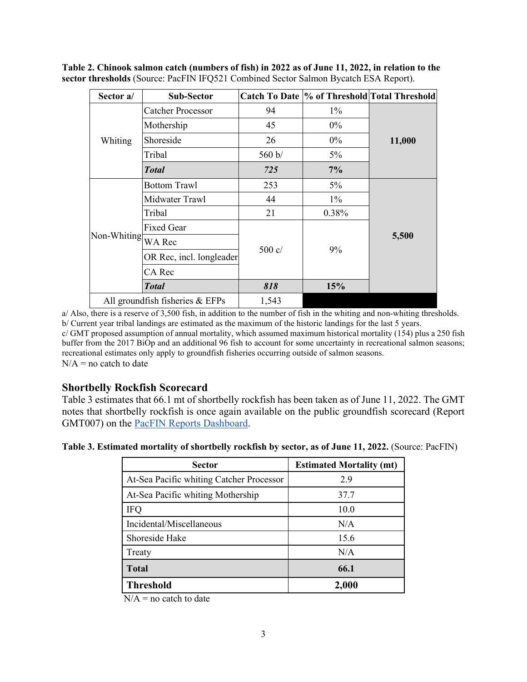**Table 2. Chinook salmon catch (numbers of fish) in 2022 as of June 11, 2022, in relation to the sector thresholds** (Source: PacFIN IFQ521 Combined Sector Salmon Bycatch ESA Report).

| Sector a/          | Sub-Sector                      |                 |          | Catch To Date  % of Threshold Total Threshold |  |
|--------------------|---------------------------------|-----------------|----------|-----------------------------------------------|--|
|                    | <b>Catcher Processor</b>        | 94              | $1\%$    |                                               |  |
|                    | Mothership                      | 45              | $0\%$    |                                               |  |
| Whiting            | Shoreside                       | 26              | $0\%$    | 11,000                                        |  |
|                    | Tribal                          | 560 b/          | $5\%$    |                                               |  |
|                    | <b>Total</b>                    | 725             | 7%       |                                               |  |
|                    | <b>Bottom Trawl</b>             | 253             | $5\%$    |                                               |  |
|                    | Midwater Trawl                  | 44              | $1\%$    |                                               |  |
|                    | Tribal                          | 21              | $0.38\%$ |                                               |  |
|                    | <b>Fixed Gear</b>               |                 | $9\%$    | 5,500                                         |  |
| Non-Whiting WA Rec |                                 |                 |          |                                               |  |
|                    | OR Rec, incl. longleader        | $500 \text{ c}$ |          |                                               |  |
|                    | CA Rec                          |                 |          |                                               |  |
|                    | <b>Total</b>                    | 818             | 15%      |                                               |  |
|                    | All groundfish fisheries & EFPs | 1,543           |          |                                               |  |

a/ Also, there is a reserve of 3,500 fish, in addition to the number of fish in the whiting and non-whiting thresholds. b/ Current year tribal landings are estimated as the maximum of the historic landings for the last 5 years. c/ GMT proposed assumption of annual mortality, which assumed maximum historical mortality (154) plus a 250 fish buffer from the 2017 BiOp and an additional 96 fish to account for some uncertainty in recreational salmon seasons; recreational estimates only apply to groundfish fisheries occurring outside of salmon seasons.  $N/A$  = no catch to date

### **Shortbelly Rockfish Scorecard**

Table 3 estimates that 66.1 mt of shortbelly rockfish has been taken as of June 11, 2022. The GMT notes that shortbelly rockfish is once again available on the public groundfish scorecard (Report GMT007) on the **PacFIN Reports Dashboard**.

| Table 3. Estimated mortality of shortbelly rockfish by sector, as of June 11, 2022. (Source: PacFIN) |  |  |  |  |
|------------------------------------------------------------------------------------------------------|--|--|--|--|
|------------------------------------------------------------------------------------------------------|--|--|--|--|

| <b>Sector</b>                            | <b>Estimated Mortality (mt)</b> |
|------------------------------------------|---------------------------------|
| At-Sea Pacific whiting Catcher Processor | 2.9                             |
| At-Sea Pacific whiting Mothership        | 37.7                            |
| <b>IFQ</b>                               | 10.0                            |
| Incidental/Miscellaneous                 | N/A                             |
| Shoreside Hake                           | 15.6                            |
| Treaty                                   | N/A                             |
| <b>Total</b>                             | 66.1                            |
| <b>Threshold</b>                         | 2,000                           |

 $N/A$  = no catch to date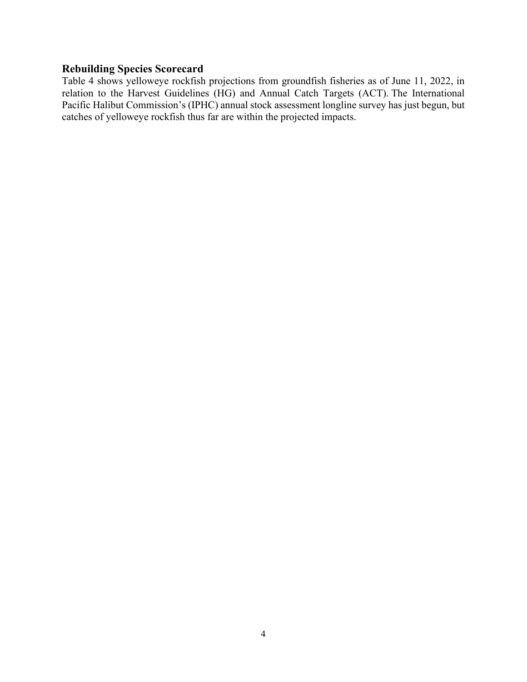### **Rebuilding Species Scorecard**

Table 4 shows yelloweye rockfish projections from groundfish fisheries as of June 11, 2022, in relation to the Harvest Guidelines (HG) and Annual Catch Targets (ACT). The International Pacific Halibut Commission's (IPHC) annual stock assessment longline survey has just begun, but catches of yelloweye rockfish thus far are within the projected impacts.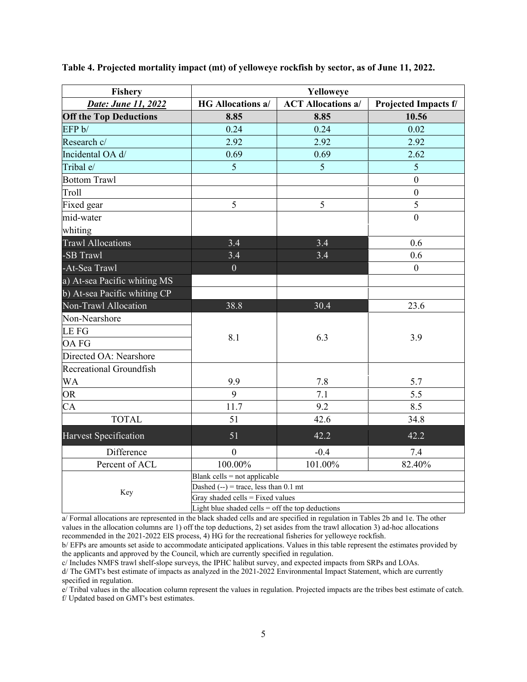| <b>Fishery</b>                | Yelloweye                                          |                           |                             |  |
|-------------------------------|----------------------------------------------------|---------------------------|-----------------------------|--|
| Date: June 11, 2022           | <b>HG Allocations a/</b>                           | <b>ACT Allocations a/</b> | <b>Projected Impacts f/</b> |  |
| <b>Off the Top Deductions</b> | 8.85                                               | 8.85                      | 10.56                       |  |
| EFP b/                        | 0.24                                               | 0.24                      | 0.02                        |  |
| Research c/                   | 2.92                                               | 2.92                      | 2.92                        |  |
| Incidental OA d/              | 0.69                                               | 0.69                      | 2.62                        |  |
| Tribal e/                     | 5                                                  | 5                         | 5                           |  |
| <b>Bottom Trawl</b>           |                                                    |                           | $\mathbf{0}$                |  |
| Troll                         |                                                    |                           | $\mathbf{0}$                |  |
| Fixed gear                    | 5                                                  | 5                         | 5                           |  |
| mid-water                     |                                                    |                           | $\theta$                    |  |
| whiting                       |                                                    |                           |                             |  |
| <b>Trawl Allocations</b>      | 3.4                                                | 3.4                       | 0.6                         |  |
| -SB Trawl                     | 3.4                                                | 3.4                       | 0.6                         |  |
| -At-Sea Trawl                 | $\overline{0}$                                     |                           | $\mathbf{0}$                |  |
| a) At-sea Pacific whiting MS  |                                                    |                           |                             |  |
| b) At-sea Pacific whiting CP  |                                                    |                           |                             |  |
| Non-Trawl Allocation          | 38.8                                               | 30.4                      | 23.6                        |  |
| Non-Nearshore                 |                                                    |                           |                             |  |
| <b>LEFG</b>                   | 8.1                                                | 6.3                       | 3.9                         |  |
| <b>OAFG</b>                   |                                                    |                           |                             |  |
| Directed OA: Nearshore        |                                                    |                           |                             |  |
| Recreational Groundfish       |                                                    |                           |                             |  |
| <b>WA</b>                     | 9.9                                                | 7.8                       | 5.7                         |  |
| <b>OR</b>                     | 9                                                  | 7.1                       | 5.5                         |  |
| CA                            | 11.7                                               | 9.2                       | 8.5                         |  |
| <b>TOTAL</b>                  | 51                                                 | 42.6                      | 34.8                        |  |
| Harvest Specification         | 51                                                 | 42.2                      | 42.2                        |  |
| Difference                    | $\mathbf{0}$                                       | $-0.4$                    | 7.4                         |  |
| Percent of ACL                | 100.00%                                            | 101.00%                   | 82.40%                      |  |
|                               | Blank cells = not applicable                       |                           |                             |  |
| Key                           | Dashed $(-)$ = trace, less than 0.1 mt             |                           |                             |  |
|                               | Gray shaded cells = Fixed values                   |                           |                             |  |
|                               | Light blue shaded cells $=$ off the top deductions |                           |                             |  |

**Table 4. Projected mortality impact (mt) of yelloweye rockfish by sector, as of June 11, 2022.**

a/ Formal allocations are represented in the black shaded cells and are specified in regulation in Tables 2b and 1e. The other values in the allocation columns are 1) off the top deductions, 2) set asides from the trawl allocation 3) ad-hoc allocations recommended in the 2021-2022 EIS process, 4) HG for the recreational fisheries for yelloweye rockfish.

b/ EFPs are amounts set aside to accommodate anticipated applications. Values in this table represent the estimates provided by the applicants and approved by the Council, which are currently specified in regulation.

c/ Includes NMFS trawl shelf-slope surveys, the IPHC halibut survey, and expected impacts from SRPs and LOAs.

d/ The GMT's best estimate of impacts as analyzed in the 2021-2022 Environmental Impact Statement, which are currently specified in regulation.

e/ Tribal values in the allocation column represent the values in regulation. Projected impacts are the tribes best estimate of catch. f/ Updated based on GMT's best estimates.